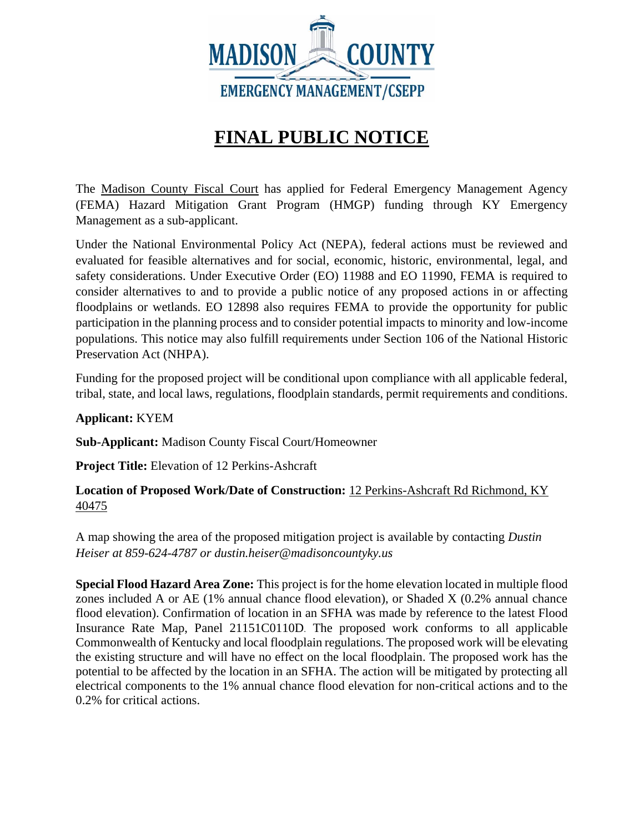

## **FINAL PUBLIC NOTICE**

The Madison County Fiscal Court has applied for Federal Emergency Management Agency (FEMA) Hazard Mitigation Grant Program (HMGP) funding through KY Emergency Management as a sub-applicant.

Under the National Environmental Policy Act (NEPA), federal actions must be reviewed and evaluated for feasible alternatives and for social, economic, historic, environmental, legal, and safety considerations. Under Executive Order (EO) 11988 and EO 11990, FEMA is required to consider alternatives to and to provide a public notice of any proposed actions in or affecting floodplains or wetlands. EO 12898 also requires FEMA to provide the opportunity for public participation in the planning process and to consider potential impacts to minority and low-income populations. This notice may also fulfill requirements under Section 106 of the National Historic Preservation Act (NHPA).

Funding for the proposed project will be conditional upon compliance with all applicable federal, tribal, state, and local laws, regulations, floodplain standards, permit requirements and conditions.

**Applicant:** KYEM

**Sub-Applicant:** Madison County Fiscal Court/Homeowner

**Project Title:** Elevation of 12 Perkins-Ashcraft

**Location of Proposed Work/Date of Construction:** 12 Perkins-Ashcraft Rd Richmond, KY 40475

A map showing the area of the proposed mitigation project is available by contacting *Dustin Heiser at 859-624-4787 or dustin.heiser@madisoncountyky.us*

**Special Flood Hazard Area Zone:** This project is for the home elevation located in multiple flood zones included A or AE (1% annual chance flood elevation), or Shaded X (0.2% annual chance flood elevation). Confirmation of location in an SFHA was made by reference to the latest Flood Insurance Rate Map, Panel 21151C0110D. The proposed work conforms to all applicable Commonwealth of Kentucky and local floodplain regulations. The proposed work will be elevating the existing structure and will have no effect on the local floodplain. The proposed work has the potential to be affected by the location in an SFHA. The action will be mitigated by protecting all electrical components to the 1% annual chance flood elevation for non-critical actions and to the 0.2% for critical actions.